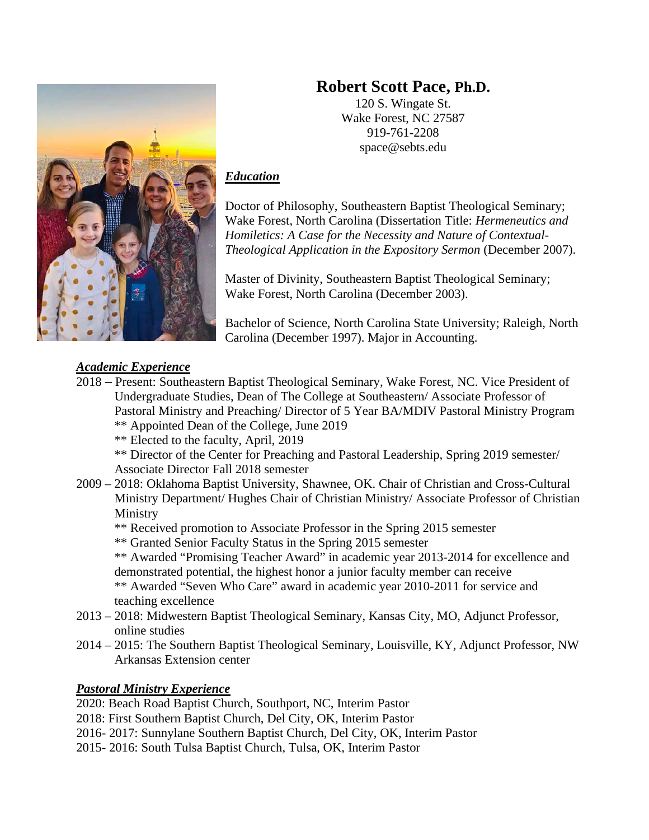# **Robert Scott Pace, Ph.D.**

120 S. Wingate St. Wake Forest, NC 27587 919-761-2208 space@sebts.edu

## *Education*

Doctor of Philosophy, Southeastern Baptist Theological Seminary; Wake Forest, North Carolina (Dissertation Title: *Hermeneutics and Homiletics: A Case for the Necessity and Nature of Contextual-Theological Application in the Expository Sermon* (December 2007).

Master of Divinity, Southeastern Baptist Theological Seminary; Wake Forest, North Carolina (December 2003).

Bachelor of Science, North Carolina State University; Raleigh, North Carolina (December 1997). Major in Accounting.

# *Academic Experience*

- 2018 Present: Southeastern Baptist Theological Seminary, Wake Forest, NC. Vice President of Undergraduate Studies, Dean of The College at Southeastern/ Associate Professor of Pastoral Ministry and Preaching/ Director of 5 Year BA/MDIV Pastoral Ministry Program
	- \*\* Appointed Dean of the College, June 2019
	- \*\* Elected to the faculty, April, 2019
	- \*\* Director of the Center for Preaching and Pastoral Leadership, Spring 2019 semester/ Associate Director Fall 2018 semester
- 2009 2018: Oklahoma Baptist University, Shawnee, OK. Chair of Christian and Cross-Cultural Ministry Department/ Hughes Chair of Christian Ministry/ Associate Professor of Christian Ministry
	- \*\* Received promotion to Associate Professor in the Spring 2015 semester
	- \*\* Granted Senior Faculty Status in the Spring 2015 semester

\*\* Awarded "Promising Teacher Award" in academic year 2013-2014 for excellence and demonstrated potential, the highest honor a junior faculty member can receive

\*\* Awarded "Seven Who Care" award in academic year 2010-2011 for service and teaching excellence

- 2013 2018: Midwestern Baptist Theological Seminary, Kansas City, MO, Adjunct Professor, online studies
- 2014 2015: The Southern Baptist Theological Seminary, Louisville, KY, Adjunct Professor, NW Arkansas Extension center

### *Pastoral Ministry Experience*

2020: Beach Road Baptist Church, Southport, NC, Interim Pastor

- 2018: First Southern Baptist Church, Del City, OK, Interim Pastor
- 2016- 2017: Sunnylane Southern Baptist Church, Del City, OK, Interim Pastor
- 2015- 2016: South Tulsa Baptist Church, Tulsa, OK, Interim Pastor

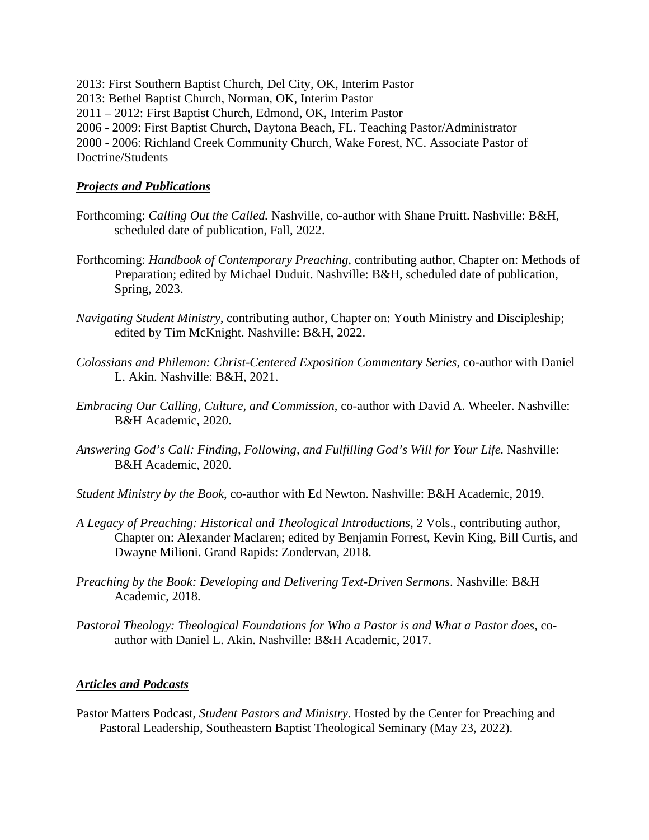2013: First Southern Baptist Church, Del City, OK, Interim Pastor 2013: Bethel Baptist Church, Norman, OK, Interim Pastor 2011 – 2012: First Baptist Church, Edmond, OK, Interim Pastor 2006 - 2009: First Baptist Church, Daytona Beach, FL. Teaching Pastor/Administrator 2000 - 2006: Richland Creek Community Church, Wake Forest, NC. Associate Pastor of Doctrine/Students

#### *Projects and Publications*

- Forthcoming: *Calling Out the Called.* Nashville, co-author with Shane Pruitt. Nashville: B&H, scheduled date of publication, Fall, 2022.
- Forthcoming: *Handbook of Contemporary Preaching*, contributing author, Chapter on: Methods of Preparation; edited by Michael Duduit. Nashville: B&H, scheduled date of publication, Spring, 2023.
- *Navigating Student Ministry*, contributing author, Chapter on: Youth Ministry and Discipleship; edited by Tim McKnight. Nashville: B&H, 2022.
- *Colossians and Philemon: Christ-Centered Exposition Commentary Series*, co-author with Daniel L. Akin. Nashville: B&H, 2021.
- *Embracing Our Calling, Culture, and Commission*, co-author with David A. Wheeler. Nashville: B&H Academic, 2020.
- *Answering God's Call: Finding, Following, and Fulfilling God's Will for Your Life.* Nashville: B&H Academic, 2020.
- *Student Ministry by the Book*, co-author with Ed Newton. Nashville: B&H Academic, 2019.
- *A Legacy of Preaching: Historical and Theological Introductions*, 2 Vols., contributing author, Chapter on: Alexander Maclaren; edited by Benjamin Forrest, Kevin King, Bill Curtis, and Dwayne Milioni. Grand Rapids: Zondervan, 2018.
- *Preaching by the Book: Developing and Delivering Text-Driven Sermons*. Nashville: B&H Academic, 2018.
- *Pastoral Theology: Theological Foundations for Who a Pastor is and What a Pastor does*, coauthor with Daniel L. Akin. Nashville: B&H Academic, 2017.

#### *Articles and Podcasts*

Pastor Matters Podcast, *Student Pastors and Ministry*. Hosted by the Center for Preaching and Pastoral Leadership, Southeastern Baptist Theological Seminary (May 23, 2022).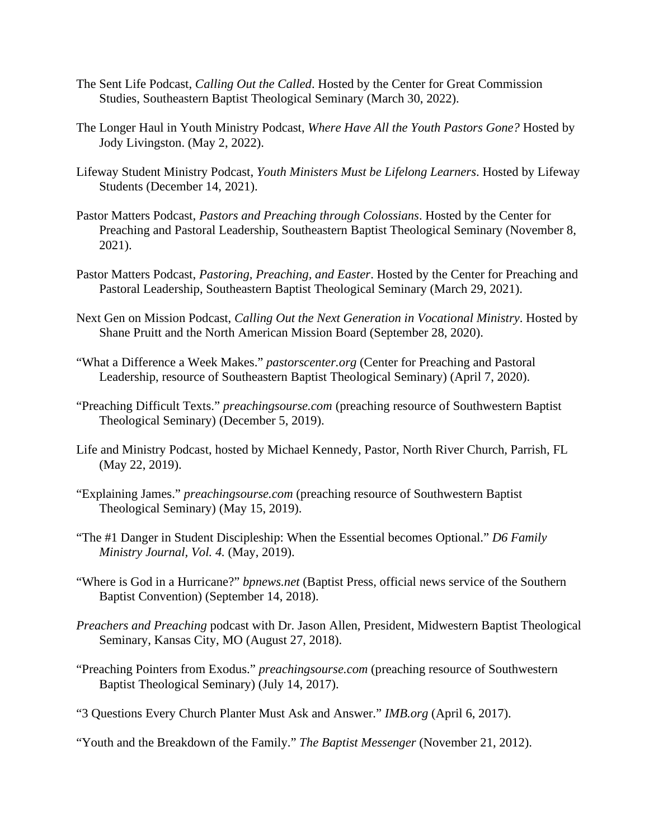- The Sent Life Podcast, *Calling Out the Called*. Hosted by the Center for Great Commission Studies, Southeastern Baptist Theological Seminary (March 30, 2022).
- The Longer Haul in Youth Ministry Podcast, *Where Have All the Youth Pastors Gone?* Hosted by Jody Livingston. (May 2, 2022).
- Lifeway Student Ministry Podcast, *Youth Ministers Must be Lifelong Learners*. Hosted by Lifeway Students (December 14, 2021).
- Pastor Matters Podcast, *Pastors and Preaching through Colossians*. Hosted by the Center for Preaching and Pastoral Leadership, Southeastern Baptist Theological Seminary (November 8, 2021).
- Pastor Matters Podcast, *Pastoring, Preaching, and Easter*. Hosted by the Center for Preaching and Pastoral Leadership, Southeastern Baptist Theological Seminary (March 29, 2021).
- Next Gen on Mission Podcast, *Calling Out the Next Generation in Vocational Ministry*. Hosted by Shane Pruitt and the North American Mission Board (September 28, 2020).
- "What a Difference a Week Makes." *pastorscenter.org* (Center for Preaching and Pastoral Leadership, resource of Southeastern Baptist Theological Seminary) (April 7, 2020).
- "Preaching Difficult Texts." *preachingsourse.com* (preaching resource of Southwestern Baptist Theological Seminary) (December 5, 2019).
- Life and Ministry Podcast, hosted by Michael Kennedy, Pastor, North River Church, Parrish, FL (May 22, 2019).
- "Explaining James." *preachingsourse.com* (preaching resource of Southwestern Baptist Theological Seminary) (May 15, 2019).
- "The #1 Danger in Student Discipleship: When the Essential becomes Optional." *D6 Family Ministry Journal, Vol. 4.* (May, 2019).
- "Where is God in a Hurricane?" *bpnews.net* (Baptist Press, official news service of the Southern Baptist Convention) (September 14, 2018).
- *Preachers and Preaching* podcast with Dr. Jason Allen, President, Midwestern Baptist Theological Seminary, Kansas City, MO (August 27, 2018).
- "Preaching Pointers from Exodus." *preachingsourse.com* (preaching resource of Southwestern Baptist Theological Seminary) (July 14, 2017).
- "3 Questions Every Church Planter Must Ask and Answer." *IMB.org* (April 6, 2017).
- "Youth and the Breakdown of the Family." *The Baptist Messenger* (November 21, 2012).